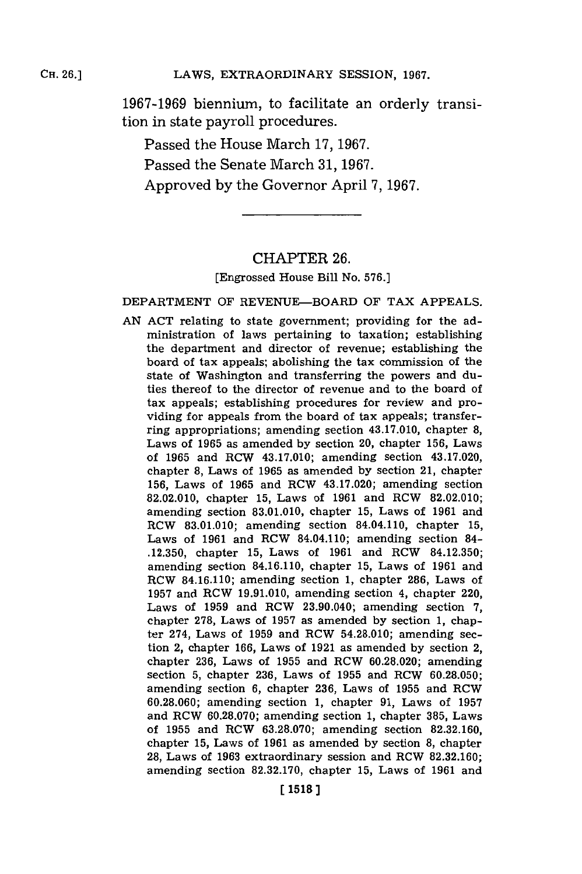**1967-1969** biennium, to facilitate an orderly transition in state payroll procedures.

Passed the House March **17, 1967.** Passed the Senate March **31, 1967.** Approved **by** the Governor April **7, 1967.**

### CHAPTER **26.**

#### [Engrossed House Bill No. **576.]**

#### DEPARTMENT OF REVENUE-BOARD **OF** TAX **APPEALS.**

**AN ACT** relating to state government; providing for the administration of laws pertaining to taxation; establishing the department and director of revenue; establishing the board of tax appeals; abolishing the tax commission of the state of Washington and transferring the powers and duties thereof to the director of revenue and to the board of tax appeals; establishing procedures for review and providing for appeals from the board of tax appeals; transferring appropriations; amending section 43.17.010, chapter **8,** Laws of **1965** as amended **by** section 20, chapter **156,** Laws of **1965** and ROW 43.17.010; amending section 43.17.020, chapter **8,** Laws of **1965** as amended **by** section 21, chapter **156,** Laws of **1965** and ROW 43.17.020; amending section **82.02.010,** chapter **15,** Laws of **1961** and RCW **82.02.010;** amending section **83.01.010,** chapter **15,** Laws of **1961** and RCW **83.01.010;** amending section 84.04.110, chapter **15,** Laws of **1961** and RCW 84.04.110; amending section 84- **.12.350,** chapter **15,** Laws of **1961** and RCW **84.12.350;** amending section 84.16.110, chapter **15,** Laws of **1961** and ROW 84.16.110; amending section **1,** chapter **286,** Laws of **1957** and RCW **19.91.010,** amending section 4, chapter 220, Laws of **1959** and ROW 23.90.040; amending section **7,** chapter **278,** Laws of **1957** as amended **by** section **1,** chapter 274, Laws of **1959** and ROW 54.28.010; amending section 2, chapter **166,** Laws of **1921** as amended **by** section 2, chapter **236,** Laws of **1955** and ROW **60.28.020;** amending section **5,** chapter **236,** Laws of **1955** and ROW **60.28.050;** amending section **6,** chapter **236,** Laws of **1955** and ROW **60.28.060;** amending section **1,** chapter **91,** Laws of **1957** and ROW **60.28.070;** amending section **1,** chapter **385,** Laws of **1955** and ROW **63.28.070;** amending section **82.32.160,** chapter **15,** Laws of **1961** as amended **by** section **8,** chapter **28,** Laws of **1963** extraordinary session and ROW **82.32.160;** amending section **82.32.170,** chapter **15,** Laws of **1961** and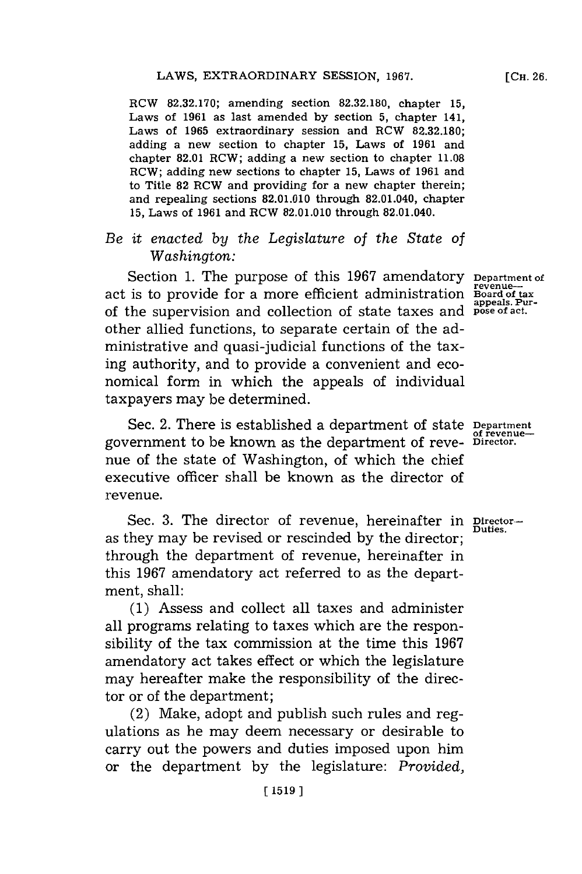RCW **82.32.170;** amending section **82.32.180,** chapter **15,** Laws of **1961** as last amended **by** section **5,** chapter 141, Laws of **1965** extraordinary session and RCW **82.32.180;** adding a new section to chapter **15,** Laws of **1961** and chapter **82.01** RCW; adding a new section to chapter **11.08** RCW; adding new sections to chapter **15,** Laws of **1961** and to Title **82** RCW and providing for a new chapter therein; and repealing sections **82.01.010** through 82.01.040, chapter **15,** Laws of **1961** and RCW **82.01.010** through 82.01.040.

## *Be it enacted by the Legislature of the State of Washington:*

Section **1.** The purpose of this **1967** amendatory act is to provide for a more efficient administration of the supervision and collection of state taxes and **pose of act.** other allied functions, to separate certain of the administrative and quasi-judicial functions of the taxing authority, and to provide a convenient and economical form in which the appeals of individual taxpayers may be determined.

Sec. 2. There is established a department of state **Department** government to be known as the department of reve- **Director.** nue of the state of Washington, of which the chief executive officer shall be known as the director of revenue.

Sec. 3. The director of revenue, hereinafter in **Director**as they may be revised or rescinded **by** the director **;** through the department of revenue, hereinafter in this **1967** amendatory act referred to as the department, shall:

**(1)** Assess and collect all taxes and administer all programs relating to taxes which are the responsibility of the tax commission at the time this **1967** amendatory act takes effect or which the legislature may hereafter make the responsibility of the director or of the department;

(2) Make, adopt and publish such rules and regulations as he may deem necessary or desirable to carry out the powers and duties imposed upon him or the department **by** the legislature: *Provided,*

**Department of revenue-Board of tax appeals. Pur-**

**of revenue-**

**[CH. 26.**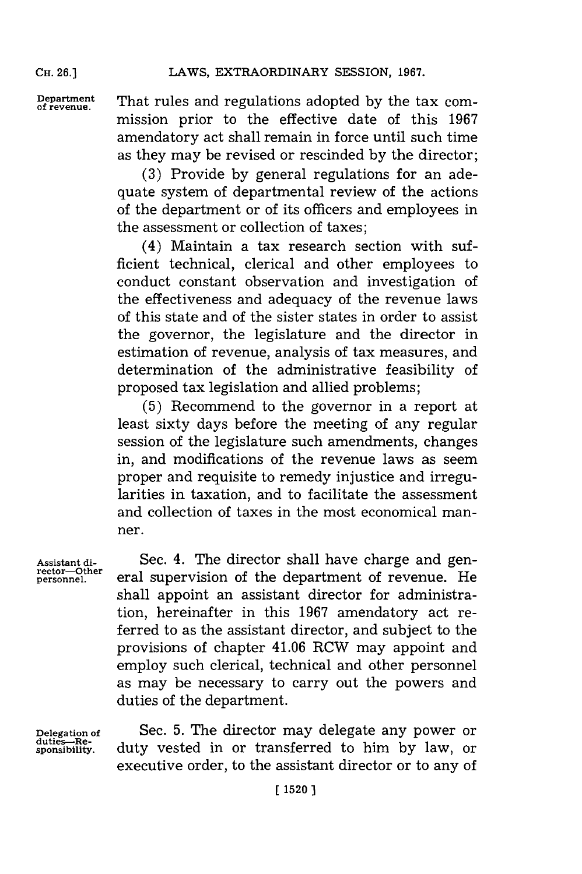**CH. 26.)**

**Dfeatent** That rules and regulations adopted **by** the tax commission prior to the effective date of this **1967** amendatory act shall remain in force until such time as they may be revised or rescinded **by** the director;

> **(3)** Provide **by** general regulations for an adequate system of departmental review of the actions of the department or of its officers and employees in the assessment or collection of taxes;

> (4) Maintain a tax research section with sufficient technical, clerical and other employees to conduct constant observation and investigation of the effectiveness and adequacy of the revenue laws of this state and of the sister states in order to assist the governor, the legislature and the director in estimation of revenue, analysis of tax measures, and determination of the administrative feasibility of proposed tax legislation and allied problems;

> **(5)** Recommend to the governor in a report at least sixty days before the meeting of any regular session of the legislature such amendments, changes in, and modifications of the revenue laws as seem proper and requisite to remedy injustice and irregularities in taxation, and to facilitate the assessment and collection of taxes in the most economical manner.

**Assistant di-** Sec. 4. The director shall have charge and gen- **rector-Other** eral supervision of the department of revenue. He shall appoint an assistant director for administration, hereinafter in this **1967** amendatory act referred to as the assistant director, and subject to the provisions of chapter 41.06 RCW may appoint and employ such clerical, technical and other personnel as may be necessary to carry out the powers and duties of the department.

duties-Re-<br>sponsibility.

**Delegation of** Sec. **5.** The director may delegate any power or **sponsibility.** duty vested in or transferred to him **by** law, or executive order, to the assistant director or to any of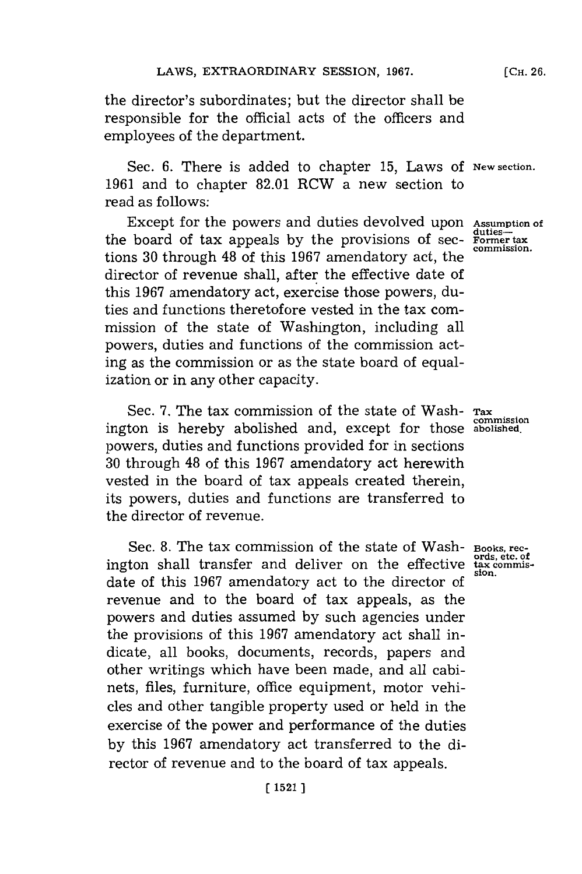the director's subordinates; but the director shall be responsible for the official acts of the officers and employees of the department.

Sec. **6.** There is added to chapter **15,** Laws **Of New section. 1961** and to chapter **82.01** RCW a new section to read as follows:

Except for the powers and duties devolved upon the board of tax appeals **by** the provisions of sections **30** through 48 of this **1967** amendatory act, the director of revenue shall, after the effective date of this **1967** amendatory act, exercise those powers, duties and functions theretofore vested in the tax commission of the state of Washington, including all powers, duties and functions of the commission acting as the commission or as the state board of equalization or in any other capacity.

Sec. 7. The tax commission of the state of Wash-  $_{\text{Tax}}$ ington is hereby abolished and, except for those **abolished.** powers, duties and functions provided for in sections **30** through 48 of this **1967** amendatory act herewith vested in the board of tax appeals created therein, its powers, duties and functions are transferred to the director of revenue.

Sec. **8.** The tax commission of the state of Washington shall transfer and deliver on the effective date of this **1967** amendatory act to the director of revenue and to the board of tax appeals, as the powers and duties assumed **by** such agencies under the provisions of this **1967** amendatory act shall indicate, all books, documents, records, papers and other writings which have been made, and all cabinets, files, furniture, office equipment, motor vehicles and other tangible property used or held in the exercise of the power and performance of the duties **by** this **1967** amendatory act transferred to the director of revenue and to the board of tax appeals.

**Assumption of duties-Former tax commission.**

**commission**

**Books, rec- ords, etc. of tax commission.**

**[CH. 26.**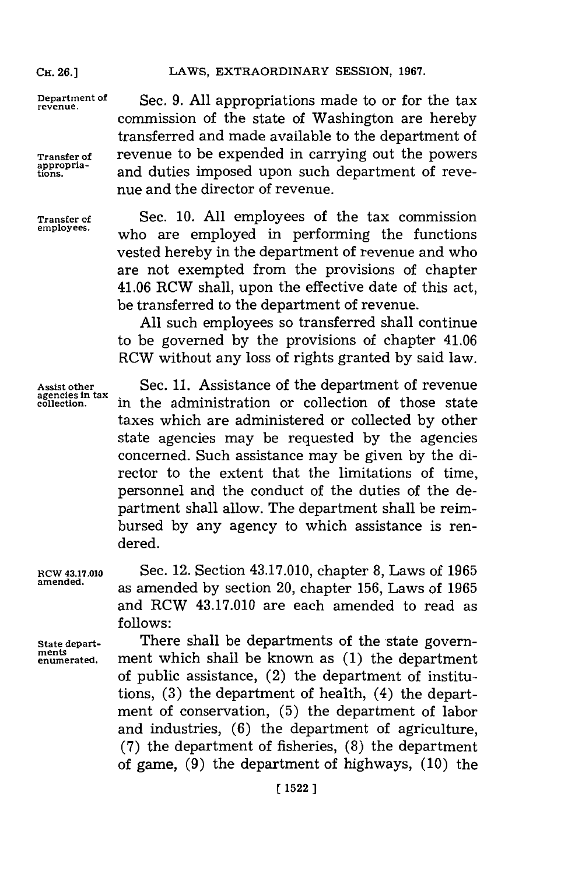#### LAWS, EXTRAORDINARY SESSION, 1967.

**Department of** Sec. **9. All** appropriations made to or for the tax **revenue.** commission of the state of Washington are hereby transferred and made available to the department of **Transfer of** revenue to be expended in carrying out the powers appropria-<br>tions. and duties imposed upon such department of revenue and the director of revenue.

**Transfer of** Sec. **10. All** employees of the tax commission who are employed in performing the functions vested hereby in the department of revenue and who are not exempted from the provisions of chapter 41.06 RCW shall, upon the effective date of this act, be transferred to the department of revenue.

> **All** such employees so transferred shall continue to be governed **by** the provisions of chapter 41.06 RCW without any loss of rights granted **by** said law.

Assist other Sec. 11. Assistance of the department of revenue<br>agencies in tax in the edministration or collection of these state equesting the administration or collection of those state taxes which are administered or collected **by** other state agencies may be requested **by** the agencies concerned. Such assistance may be given **by** the director to the extent that the limitations of time, personnel and the conduct of the duties of the department shall allow. The department shall be reimbursed **by** any agency to which assistance is rendered.

**RCW 43.17.010** Sec. 12. Section 43.17.010, chapter **8,** Laws of **<sup>1965</sup>** amened. as amended **by** section 20, chapter **156,** Laws of **<sup>1965</sup>** and RCW 43.17.010 are each amended to read as **follows:**

State depart-<br>ments **and solution** in the state govern-<br>ments and state in the state of the state and the state of the state of the state of the state of the state of the state of the state of the state of the state of the **enumerated.** ment which shall be known as **(1)** the department of public assistance, (2) the department of institutions, **(3)** the department of health, (4) the department of conservation, **(5)** the department of labor and industries, **(6)** the department of agriculture, **(7)** the department of fisheries, **(8)** the department of game, **(9)** the department of highways, **(10)** the

### **CH. 26.]**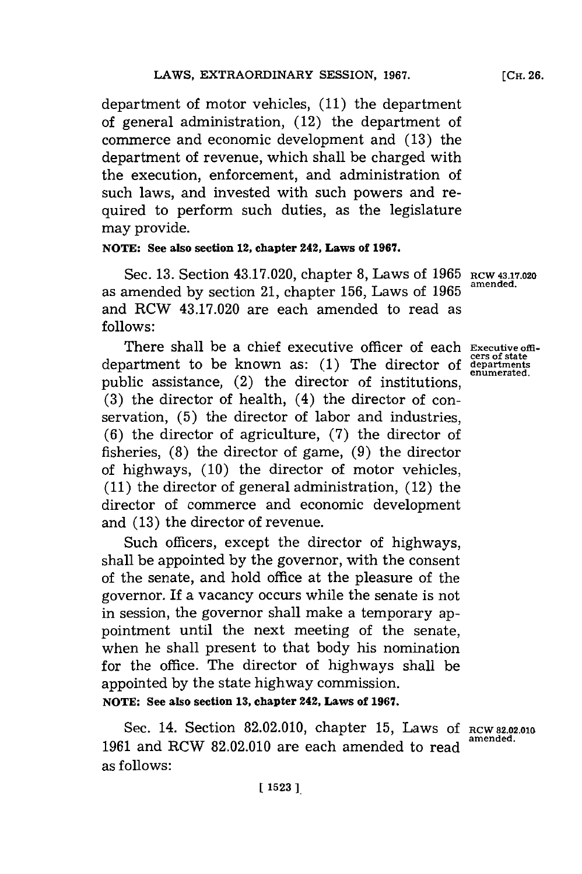department of motor vehicles, **(11)** the department of general administration, (12) the department of commerce and economic development and **(13)** the department of revenue, which shall be charged with the execution, enforcement, and administration of such laws, and invested with such powers and required to perform such duties, as the legislature may provide.

### **NOTE: See also section 12, chapter 242, Laws of 1967.**

Sec. **13.** Section 43.17.020, chapter **8,** Laws of **1965 RCW 43.17.020** as amended by section 21, chapter 156, Laws of 1965 and RCW 43.17.020 are each amended to read as **follows:**

There shall be a chief executive officer of each **Executive offi- cers of state** department to be known as: **(1)** The director of **departmnts** public assistance,  $(2)$  the director of institutions, **(3)** the director of health, (4) the director of conservation, **(5)** the director of labor and industries, **(6)** the director of agriculture, **(7)** the director of fisheries, **(8)** the director of game, **(9)** the director of highways, **(10)** the director of motor vehicles, **(11)** the director of general administration, (12) the director of commerce and economic development and **(13)** the director of revenue.

Such officers, except the director of highways, shall be appointed **by** the governor, with the consent of the senate, and hold office at the pleasure of the governor. If a vacancy occurs while the senate is not in session, the governor shall make a temporary appointment until the next meeting of the senate, when he shall present to that body his nomination for the office. The director of highways shall be appointed **by** the state highway commission.

**NOTE: Sec also section 13, chapter 242, Laws of 1967.**

Sec. 14. Section **82.02.010,** chapter **15,** Laws **Of** RCW **2.02.010** 1961 and RCW 82.02.010 are each amended to read as follows: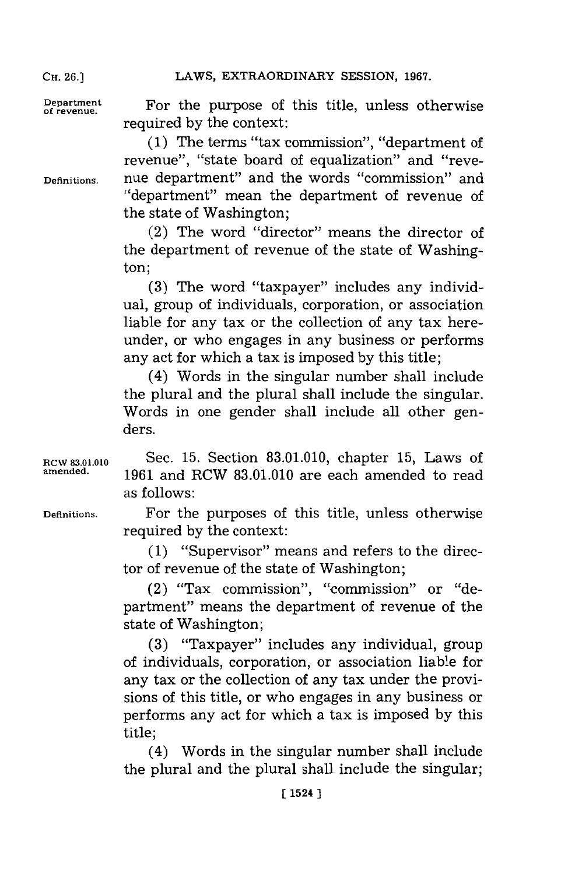LAWS, EXTRAORDINARY SESSION, 1967.

**CH. 26.1**

Department **For the purpose of this title, unless otherwise** required **by** the context:

**(1)** The terms "tax commission", "department of revenue", "state board of equalization" and "reve-**Definitions.** nue department" and the words "commission" and "department" mean the department of revenue of the state of Washington;

> (2) The word "director" means the director of the department of revenue of the state of Washington;

> **(3)** The word "taxpayer" includes any individual, group of individuals, corporation, or association liable for any tax or the collection of any tax hereunder, or who engages in any business or performs any act for which a tax is imposed **by** this title;

> (4) Words in the singular number shall include the plural and the plural shall include the singular. Words in one gender shall include all other genders.

**RCW 83.1.010** Sec. **15.** Section **83.01.010,** chapter **15,** Laws of **amended. 1961** and RCW **83.01.010** are each amended to read as follows:

**Definitions.** For the purposes of this title, unless otherwise required **by** the context:

> **(1)** "Supervisor" means and refers to the director of revenue of the state of Washington;

> (2) "Tax commission", "commission" or "department" means the department of revenue of the state of Washington;

> **(3)** "Taxpayer" includes any individual, group of individuals, corporation, or association liable for any tax or the collection of any tax under the provisions of this title, or who engages in any business or performs any act for which a tax is imposed **by** this title;

> (4) Words in the singular number shall include the plural and the plural shall include the singular;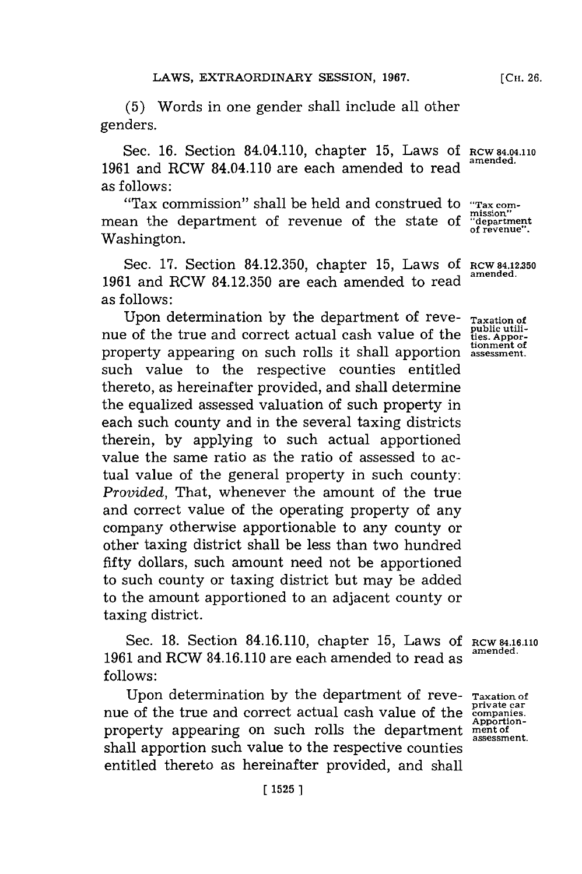**(5)** Words in one gender shall include all other genders.

Sec. **16.** Section 84.04.110, chapter **15,** Laws **Of RCW 84.04.110 <sup>1961</sup>**and RCW 84.04.110 are each amended to read **amended.** as follows:

"Tax commission" shall be held and construed to **"Tax com**mean the department of revenue of the state of **"department**" Washington.

Sec. **17.** Section **84.12.350,** chapter **15,** Laws **Of RCW 84.12.350 <sup>1961</sup>**and RCW **84.12.350** are each amended to read **amended.** as follows:

Upon determination by the department of reve- **Taxation of**<br>e of the true and correct actual cash value of the **the public utili**hue of the true and correct actual cash value of the property appearing on such rolls it shall apportion assessment. such value to the respective counties entitled thereto, as hereinafter provided, and shall determine the equalized assessed valuation of such property in each such county and in the several taxing districts therein, **by** applying to such actual apportioned value the same ratio as the ratio of assessed to actual value of the general property in such county: *Provided,* That, whenever the amount of the true and correct value of the operating property of any company otherwise apportionable to any county or other taxing district shall be less than two hundred fifty dollars, such amount need not be apportioned to such county or taxing district but may be added to the amount apportioned to an adjacent county or taxing district.

Sec. **18.** Section 84.16.110, chapter **15,** Laws **Of RCW** 8416.110 **1961** and RCW 84.16.110 are each amended to read as **follows:**

Upon determination **by** the department of reve- **Taxation of private car** nue of the true and correct actual cash value of the **companies.** property appearing on such rolls the department **ment of**<br>assessment. shall apportion such value to the respective counties entitled thereto as hereinafter provided, and shall

**Apportion-**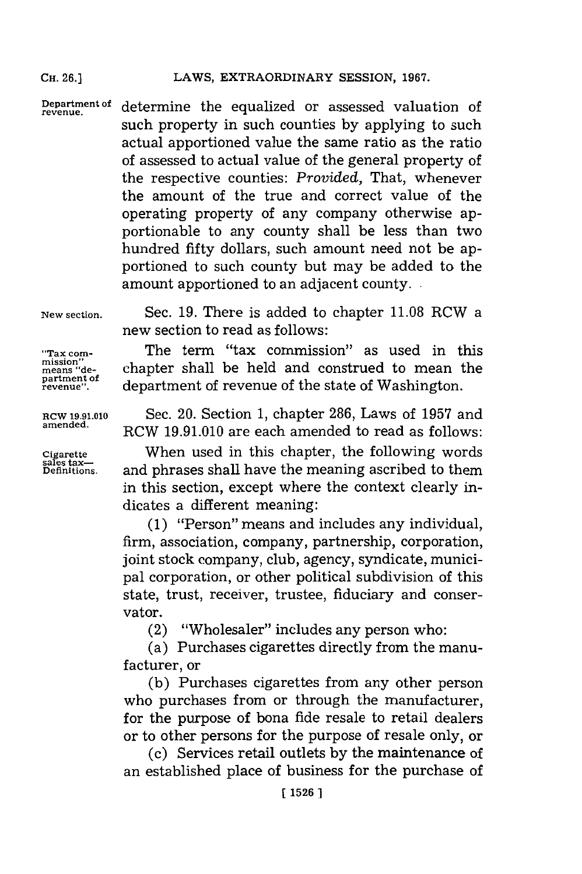#### **CH.** 26.]LAWS, EXTRAORDINARY **SESSION, 1967. CH. 26.]**

**Department of revenue .** determine the equalized or assessed valuation of such property in such counties **by** applying to such actual apportioned value the same ratio as the ratio of assessed to actual value of the general property of the respective counties: *Provided,* That, whenever the amount of the true and correct value of the operating property of any company otherwise apportionable to any county shall be less than two hundred fifty dollars, such amount need not be apportioned to such county but may be added to the amount apportioned to an adjacent county..

**New section.**

Sec. **19.** There is added to chapter **11.08** RCW a new section to read as follows:

The term "tax commission" as used in this chapter shall be held and construed to mean the department of revenue of the state of Washington.

RCW **1.91.010** Sec. 20. Section **1,** chapter **286,** Laws of **1957** and **amended.** RCW **19.91.010** are each amended to read as follows:

**Cigarette** When used in this chapter, the following words<br> **Sales tax-property** and phrases shall have the meaning ascribed to them Cigarette **Definitions, Michael State of the mail of the mail of the meaning ascribed to them**<br>Definitions. and phrases shall have the meaning ascribed to them in this section, except where the context clearly indicates a different meaning:

> **(1)** "Person" means and includes any individual, firm, association, company, partnership, corporation, joint stock company, club, agency, syndicate, municipal corporation, or other political subdivision of this state, trust, receiver, trustee, fiduciary and conservator.

(2) "Wholesaler" includes any person who:

(a) Purchases cigarettes directly from the manufacturer, or

**(b)** Purchases cigarettes from any other person who purchases from or through the manufacturer, for the purpose of bona fide resale to retail dealers or to other persons for the purpose of resale only, or

(c) Services retail outlets **by** the maintenance of an established place of business for the purchase of

**"Tax com- mission" means "department of revenue".**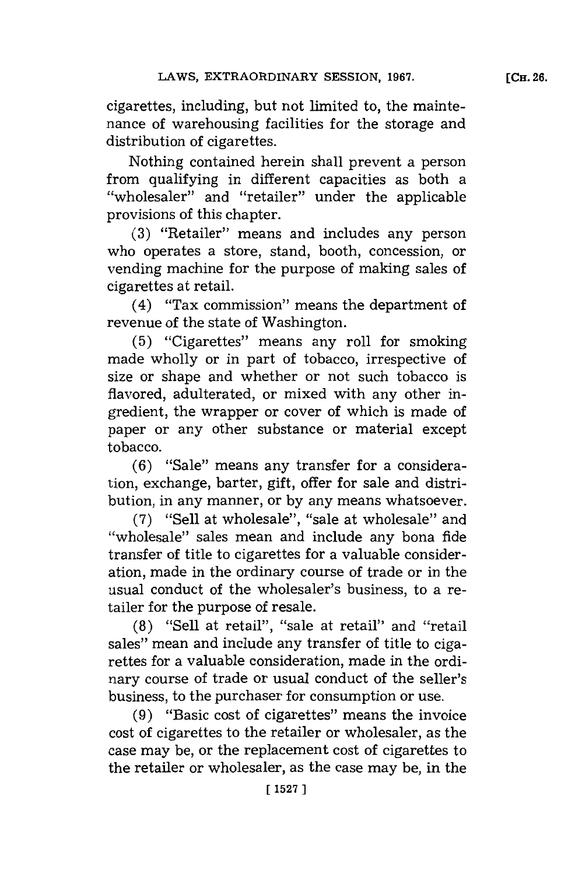cigarettes, including, but not limited to, the maintenance of warehousing facilities for the storage and distribution of cigarettes.

Nothing contained herein shall prevent a person from qualifying in different capacities as both a "wholesaler" and "retailer" under the applicable provisions of this chapter.

**(3)** "Retailer" means and includes any person who operates a store, stand, booth, concession, or vending machine for the purpose of making sales of cigarettes at retail.

(4) "Tax commission"~ means the department of revenue of the state of Washington.

**(5)** "Cigarettes" means any roll for smoking made wholly or in part of tobacco, irrespective of size or shape and whether or not such tobacco is flavored, adulterated, or mixed with any other ingredient, the wrapper or cover of which is made of paper or any other substance or material except tobacco.

**(6)** "Sale" means any transfer for a consideration, exchange, barter, gift, offer for sale and distribution, in any manner, or **by** any means whatsoever.

**(7)** "Sell at wholesale", "sale at wholesale" and "wholesale" sales mean and include any bona fide transfer of title to cigarettes for a valuable consideration, made in the ordinary course of trade or in the usual conduct of the wholesaler's business, to a retailer for the purpose of resale.

**(8)** "Sell at retail", "sale at retail" and "retail sales" mean and include any transfer of title to cigarettes for a valuable consideration, made in the ordinary course of trade or usual conduct of the seller's business, to the purchaser for consumption or use.

**(9)** "Basic cost of cigarettes" means the invoice cost of cigarettes to the retailer or wholesaler, as the case may be, or the replacement cost of cigarettes to the retailer or wholesaler, as the case may be, in the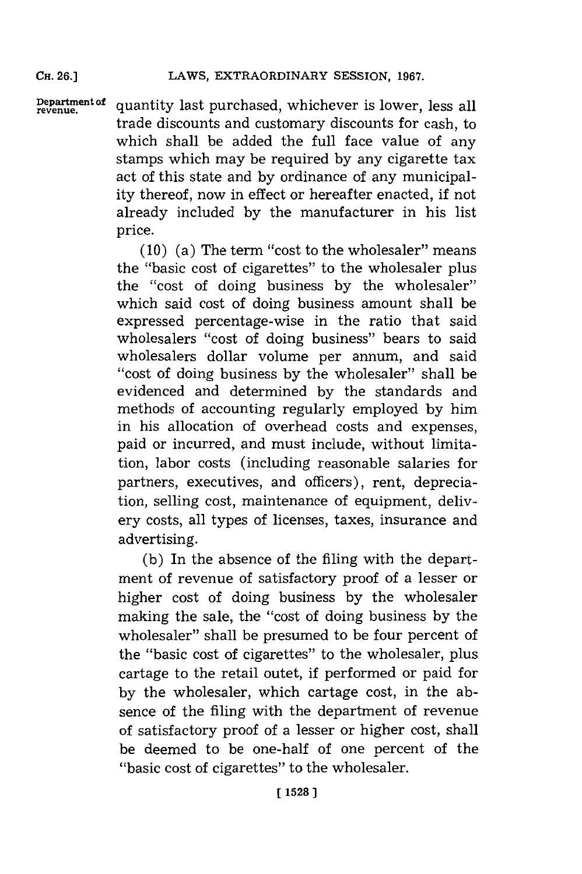**CH. 26.]**

Department of quantity last purchased, whichever is lower, less all trade discounts and customary discounts for cash, to which shall be added the full face value of any stamps which may be required **by** any cigarette tax act of this state and **by** ordinance of any municipality thereof, now in effect or hereafter enacted, if not already included **by** the manufacturer in his list price.

> **(10)** (a) The term "cost to the wholesaler" means the "basic cost of cigarettes" to the wholesaler plus the "cost of doing business **by** the wholesaler" which said cost of doing business amount shall be expressed percentage-wise in the ratio that said wholesalers "cost of doing business" bears to said wholesalers dollar volume per annum., and said "cost of doing business by the wholesaler" shall be evidenced and determined **by** the standards and methods of accounting regularly employed **by** him in his allocation of overhead costs and expenses, paid or incurred, and must include, without limitation, labor costs (including reasonable salaries for partners, executives, and officers), rent, depreciation, selling cost, maintenance of equipment, delivery costs, all types of licenses, taxes, insurance and advertising.

> **(b)** In the absence of the filing with the department of revenue of satisfactory proof of a lesser or higher cost of doing business **by** the wholesaler making the sale, the "cost of doing business **by** the wholesaler" shall be presumed to be four percent of the "basic cost of cigarettes" to the wholesaler, plus cartage to the retail outet, if performed or paid for **by** the wholesaler, which cartage cost, in the absence of the filing with the department of revenue of satisfactory proof of a lesser or higher cost, shall be deemed to be one-half of one percent of the "basic cost of cigarettes" to the wholesaler.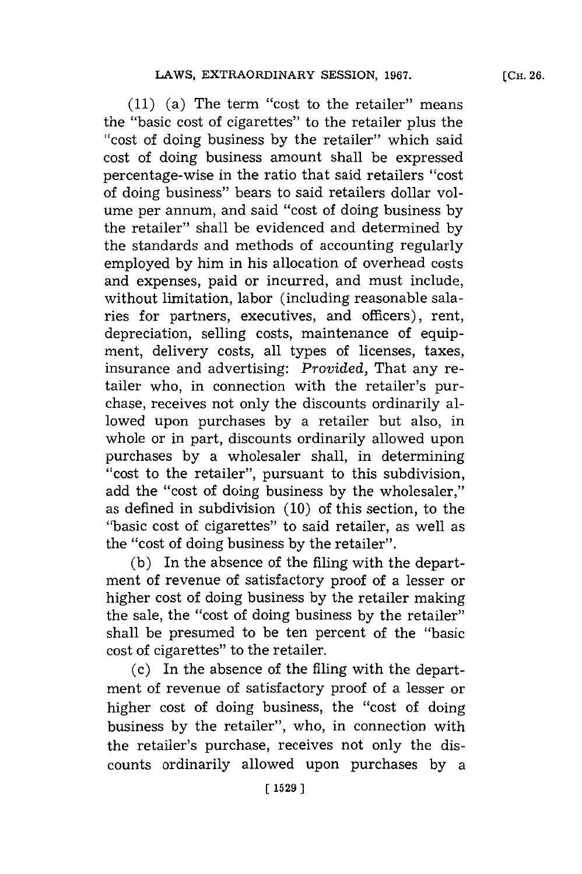**(11)** (a) The term "cost to the retailer" means the "basic cost of cigarettes" to the retailer plus the "cost of doing business by the retailer" which said cost of doing business amount shall be expressed percentage-wise in the ratio that said retailers "cost of doing business" bears to said retailers dollar volume per annum, and said "cost of doing business **by** the retailer" shall be evidenced and determined **by** the standards and methods of accounting regularly employed **by** him in his allocation of overhead costs and expenses, paid or incurred, and must include, without limitation, labor (including reasonable salaries for partners, executives, and officers), rent, depreciation, selling costs, maintenance of equipment, delivery costs, all types of licenses, taxes, insurance and advertising: *Provided,* That any retailer who, in connection with the retailer's purchase, receives not only the discounts ordinarily allowed upon purchases **by** a retailer but also, in whole or in part, discounts ordinarily allowed upon purchases **by** a wholesaler shall, in determining "ccost to the retailer", pursuant to this subdivision, add the "cost of doing business **by** the wholesaler," as defined in subdivision **(10)** of this section, to the "basic cost of cigarettes" to said retailer, as well as the "cost of doing business **by** the retailer".

**(b)** In the absence of the filing with the department of revenue of satisfactory proof of a lesser or higher cost of doing business **by** the retailer making the sale, the "cost of doing business **by** the retailer" shall be presumed to be ten percent of the "basic cost of cigarettes" to the retailer.

(c) In the absence of the filing with the department of revenue of satisfactory proof of a lesser or higher cost of doing business, the "cost of doing business **by** the retailer", who, in connection with the retailer's purchase, receives not only the discounts ordinarily allowed upon purchases **by** a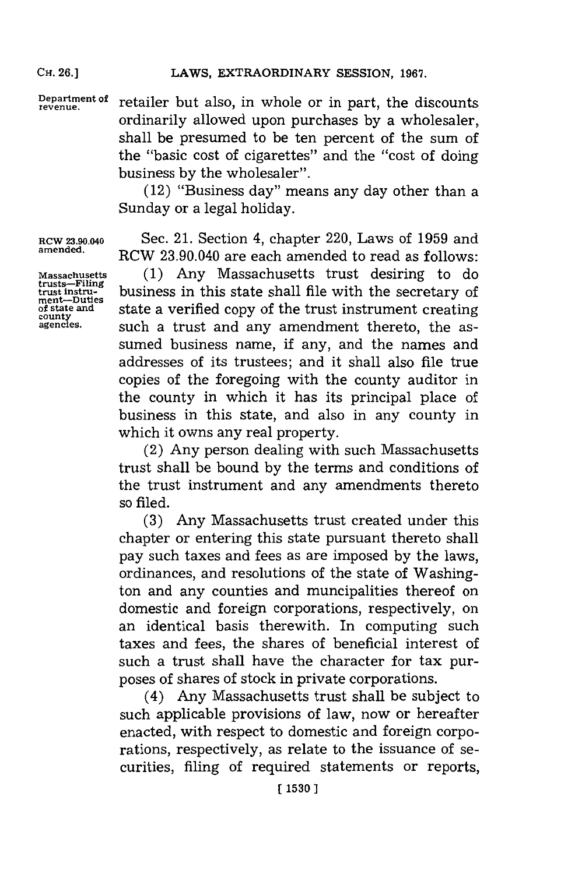Department of retailer but also, in whole or in part, the discounts ordinarily allowed upon purchases **by** a wholesaler, shall be presumed to be ten percent of the sum of the "basic cost of cigarettes" and the "cost of doing business **by** the wholesaler".

> (12) "Business day" means any day other than a Sunday or a legal holiday.

RCW 23.90.040 Sec. 21. Section 4, chapter 220, Laws of **1959** and RCW 23.90.040 are each amended to read as follows:

Massachusetts **(1)** Any Massachusetts trust desiring to do trusts—Filing<br>trust instru-<br>ment—buties business in this state shall file with the secretary of<br>of state and state a verified conv of the trust instrument creating of state and<br>county state a verified copy of the trust instrument creating<br>agencies. Such a trust and any amendment thereto, the assuch a trust and any amendment thereto, the assumed business name, if any, and the names and addresses of its trustees; and it shall also file true copies of the foregoing with the county auditor in the county in which it has its principal place of business in this state, and also in any county in which it owns any real property.

> (2) Any person dealing with such Massachusetts trust shall be bound **by** the terms and conditions of the trust instrument and any amendments thereto so filed.

> **(3)** Any Massachusetts trust created under this chapter or entering this state pursuant thereto shall pay such taxes and fees as are imposed **by** the laws, ordinances, and resolutions of the state of Washington and any counties and muncipalities thereof on domestic and foreign corporations, respectively, on an identical basis therewith. In computing such taxes and fees, the shares of beneficial interest of such a trust shall have the character for tax purposes of shares of stock in private corporations.

> (4) Any Massachusetts trust shall be subject to such applicable provisions of law, now or hereafter enacted, with respect to domestic and foreign corporations, respectively, as relate to the issuance of securities, filing of required statements or reports,

**CH. 26.]**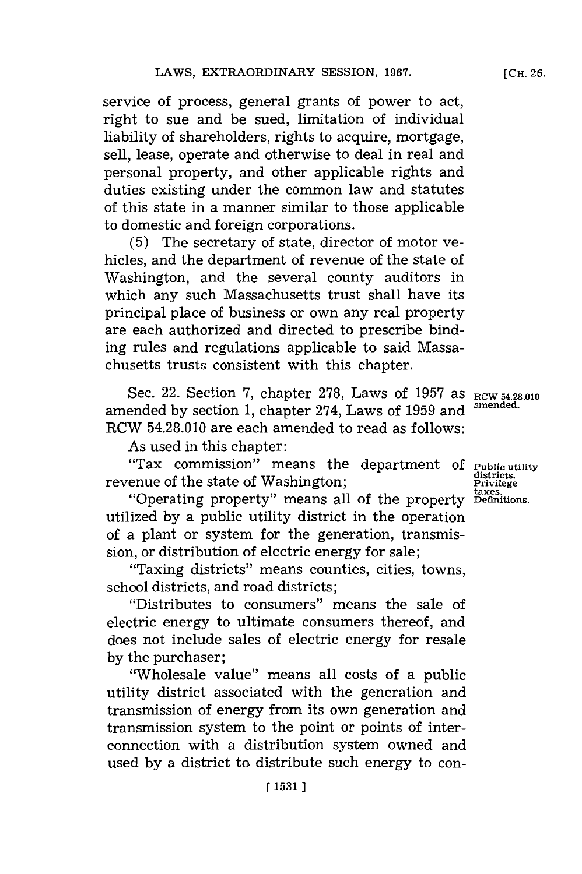service of process, general grants of power to act, right to sue and be sued, limitation of individual liability of shareholders, rights to acquire, mortgage, sell, lease, operate and otherwise to deal in real and personal property, and other applicable rights and duties existing under the common law and statutes of this state in a manner similar to those applicable to domestic and foreign corporations.

**(5)** The secretary of state, director of motor vehicles, and the department of revenue of the state of Washington, and the several county auditors in which any such Massachusetts trust shall have its principal place of business or own any real property are each authorized and directed to prescribe binding rules and regulations applicable to said Massachusetts trusts consistent with this chapter.

Sec. 22. Section 7, chapter 278, Laws of 1957 as  $RCW$  54.28.010 amended **by** section **1,** chapter 274, Laws of **1959** and **amended.** RCW 54.28.010 are each amended to read as follows:

As used in this chapter:

"Tax commission" means the department **Of Public utility districts.** revenue of the state of Washington; **Privalent Separate Separate Separate Separate Separate Separate Separate**<br>Investor

"Operating property" means all of the property **Definitions.** utilized **by** a public utility district in the operation of a plant or system for the generation, transmission, or distribution of electric energy for sale;

"Taxing districts" means counties, cities, towns, school districts, and road districts;

''Distributes to consumers"~ means the sale of electric energy to ultimate consumers thereof, and does not include sales of electric energy for resale **by** the purchaser;

"Wholesale value" means all costs of a public utility district associated with the generation and transmission of energy from its own generation and transmission system to the point or points of interconnection with a distribution system owned and used **by** a district to distribute such energy to con-

**[CH. 26.**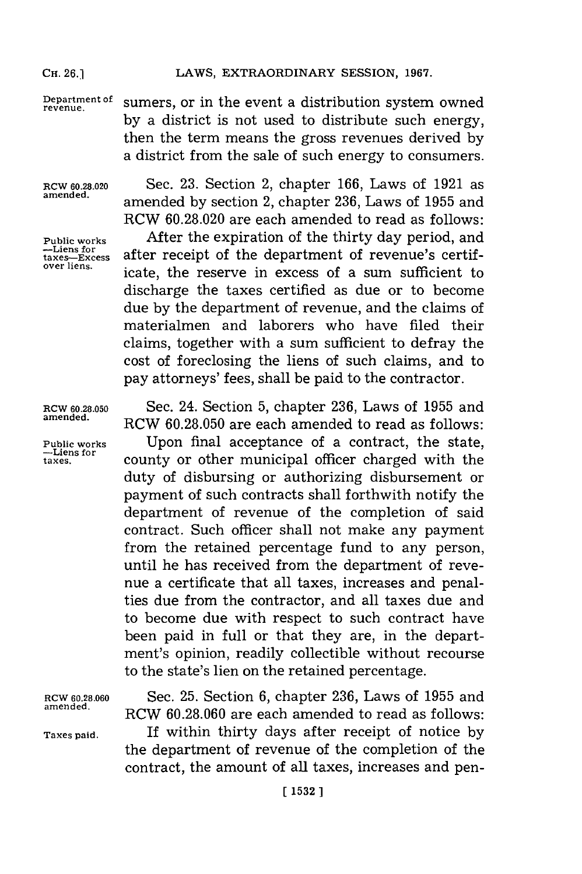#### CH. 26.] LAWS, EXTRAORDINARY SESSION, 1967.

Department of sumers, or in the event a distribution system owned **by** a district is not used to distribute such energy, then the term means the gross revenues derived **by** a district from the sale of such energy to consumers.

**-Liens for**<br>taxes-Excess<br>over liens.

RCW **6.28.020** Sec. **23.** Section 2, chapter **166,** Laws of **1921** as **amended,** amended **by** section 2, chapter **236,** Laws of **1955** and RCW **60.28.020** are each amended to read as follows: **Public works** After the expiration of the thirty day period, and after receipt of the department of revenue's certificate, the reserve in excess of a sum sufficient to discharge the taxes certified as due or to become due **by** the department of revenue, and the claims of materialmen and laborers who have filed their claims, together with a sum sufficient to defray the cost of foreclosing the liens of such claims, and to pay attorneys' fees, shall be paid to the contractor.

RCW **60.28.050** Sec. 24. Section **5,** chapter **236,** Laws of **1955** and **amended.** RCW **60.28.050** are each amended to read as follows: **Public works** Upon final acceptance of a contract, the state, **-Liens for** county or other municipal officer charged with the duty of disbursing or authorizing disbursement or payment of such contracts shall forthwith notify the department of revenue of the completion of said contract. Such officer shall not make any payment from the retained percentage fund to any person, until he has received from the department of revenue a certificate that all taxes, increases and penalties due from the contractor, and all taxes due and to become due with respect to such contract have been paid in full or that they are, in the department's opinion, readily collectible without recourse to the state's lien on the retained percentage.

RCW **60.28.060** Sec. **25.** Section **6,** chapter **236,** Laws of **1955** and **amended.** RCW **60.28.060** are each amended to read as follows: **Taxes paid.** If within thirty days after receipt of notice **by** the department of revenue of the completion of the contract, the amount of all taxes, increases and pen-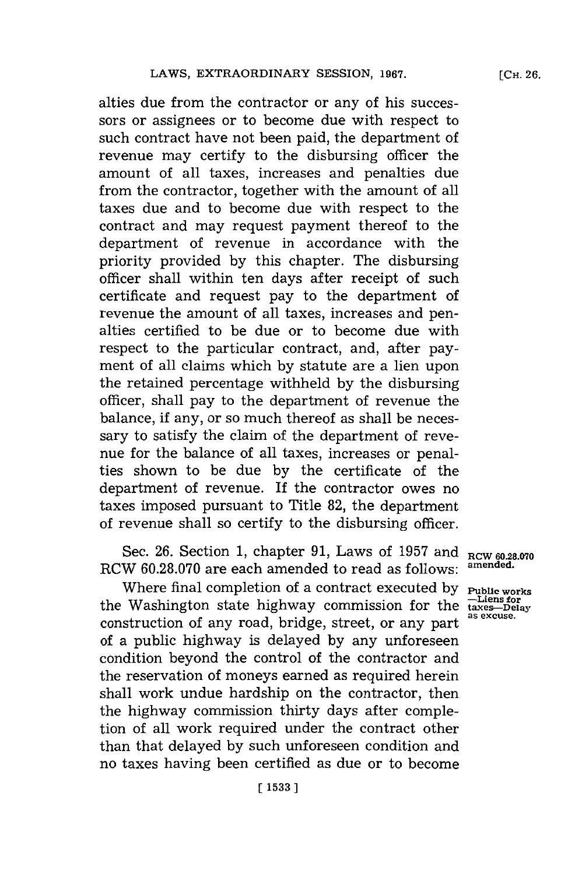**[CH. 26.**

alties due from the contractor or any of his successors or assignees or to become due with respect to such contract have not been paid, the department of revenue may certify to the disbursing officer the amount of all taxes, increases and penalties due from the contractor, together with the amount of all taxes due and to become due with respect to the contract and may request payment thereof to the department of revenue in accordance with the priority provided **by** this chapter. The disbursing officer shall within ten days after receipt of such certificate and request pay to the department of revenue the amount of all taxes, increases and penalties certified to be due or to become due with respect to the particular contract, and, after payment of all claims which **by** statute are a lien upon the retained percentage withheld **by** the disbursing officer, shall pay to the department of revenue the balance, if any, or so much thereof as shall be necessary to satisfy the claim of the department of revenue for the balance of all taxes, increases or penalties shown to be due **by** the certificate of the department of revenue. **If** the contractor owes no taxes imposed pursuant to Title **82,** the department of revenue shall so certify to the disbursing officer.

Sec. **26.** Section **1,** chapter **91,** Laws of **1957** and **RCW 60.28.070** RCW 60.28.070 are each amended to read as follows:

Where final completion of a contract executed by **Public works**<br>Washington state highway commission for the  $\frac{1 \text{Liens for}}{\text{taxse}-\text{Delay}}$ the Washington state highway commission for the construction of any road, bridge, street, or any part of a public highway is delayed **by** any unforeseen condition beyond the control of the contractor and the reservation of moneys earned as required herein shall work undue hardship on the contractor, then the highway commission thirty days after completion of all work required under the contract other than that delayed **by** such unforeseen condition and no taxes having been certified as due or to become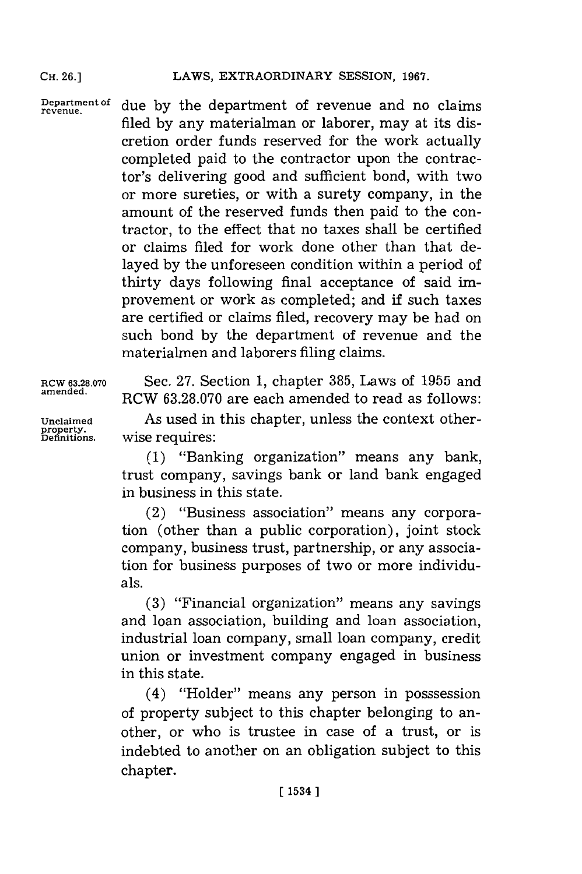#### LAWS, EXTRAORDINARY SESSION, 1967.

**Department of revenue.** due **by** the department of revenue and no claims filed **by** any materialman or laborer, may at its discretion order funds reserved for the work actually completed paid to the contractor upon the contractor's delivering good and sufficient bond, with two or more sureties, or with a surety company, in the amount of the reserved funds then paid to the contractor, to the effect that no taxes shall be certified or claims filed for work done other than that delayed **by** the unforeseen condition within a period of thirty days following final acceptance of said improvement or work as completed; and if such taxes are certified or claims filed, recovery may be had on such bond **by** the department of revenue and the materialmen and laborers filing claims.

RCW **63.28.070** Sec. **27.** Section **1,** chapter **385,** Laws of **1955** and **amended.** RCW **63.28.070** are each amended to read as follows: **Unclaimed** As used in this chapter, unless the context other-**Definitions,** wise requires:

**(1)** "Banking organization" means any bank, trust company, savings bank or land bank engaged in business in this state.

(2) "Business association" means any corporation (other than a public corporation), joint stock company, business trust, partnership, or any association for business purposes of two or more individuals.

**(3)** "Financial organization" means any savings and loan association, building and loan association, industrial loan company, small loan company, credit union or investment company engaged in business in this state.

(4) "Holder" means any person in posssession of property subject to this chapter belonging to another, or who is trustee in case of a trust, or is indebted to another on an obligation subject to this chapter.

**property.**

**CH. 26.]**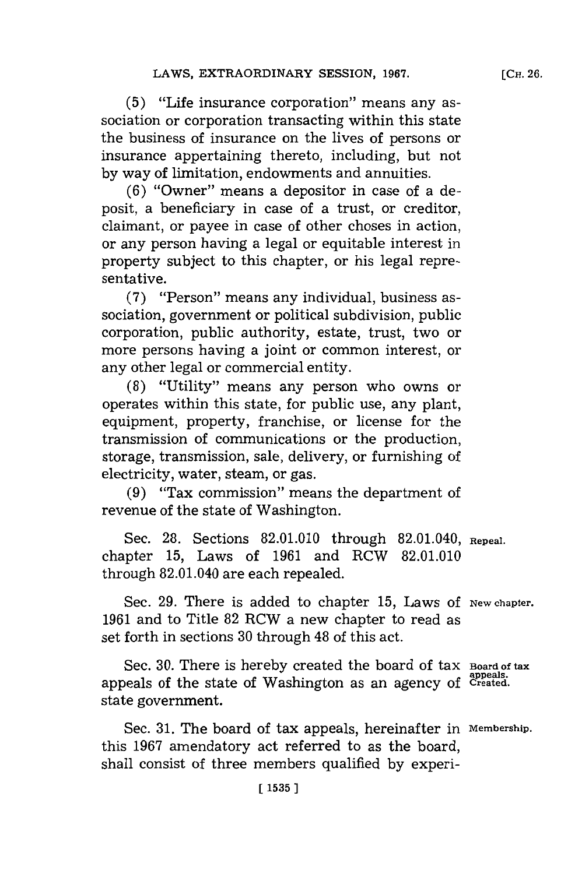**(5)** "Life insurance corporation" means any association or corporation transacting within this state the business of insurance on the lives of persons or insurance appertaining thereto, including, but not **by** way of limitation, endowments and annuities.

**(6)** "Owner" means a depositor in case of a deposit, a beneficiary in case of a trust, or creditor, claimant, or payee in case of other choses in action, or any person having a legal or equitable interest in property subject to this chapter, or his legal representative.

**(7)** "Person" means any individual, business association, government or political subdivision, public corporation, public authority, estate, trust, two or more persons having a joint or common interest, or any other legal or commercial entity.

**(8)** "Utility" means any person who owns or operates within this state, for public use, any plant, equipment, property, franchise, or license for the transmission of communications or the production, storage, transmission, sale, delivery, or furnishing of electricity, water, steam, or gas.

**(9)** "Tax commission" means the department of revenue of the state of Washington.

Sec. **28.** Sections **82.01.010** through 82.01.040, **Repeal.** chapter **15,** Laws of **1961** and RCW **82.01.010** through 82.01.040 are each repealed.

Sec. 29. There is added to chapter 15, Laws of New chapter. **1961** and to Title **82** RCW a new chapter to read as set forth in sections **30** through 48 of this act.

Sec. 30. There is hereby created the board of tax **Board of tax** appeals of the state of Washington as an agency of Created. state government.

Sec. **31.** The board of tax appeals, hereinafter in **Membership.** this **1967** amendatory act referred to as the board, shall consist of three members qualified **by** experi-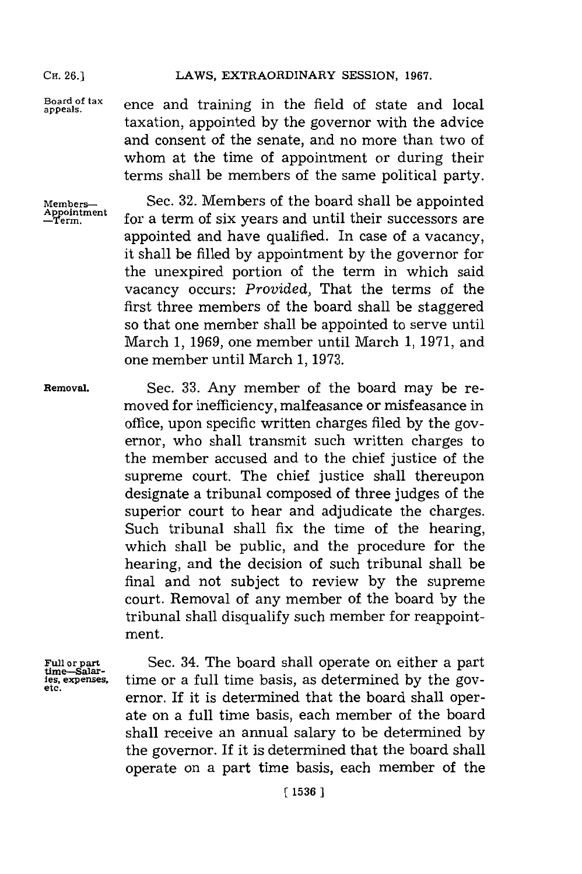#### **CHi. 26.] LAWS, EXTRAORDINARY SESSION, 1967.**

Board of tax ence and training in the field of state and loo taxation, appointed **by** the governor with the advice and consent of the senate, and no more than two of whom at the time of appointment or during their terms shall be members of the same political party.

Members— Sec. 32. Members of the board shall be appointed Appointment for a term of six years and until their successors are for a term of six years and until their successors are appointed and have qualified. In case of a vacancy, it shall be filled **by** appointment **by** the governor **for** the unexpired portion of the term in which said vacancy occurs: *Provided,* That the terms of the first three members of the board shall be staggered so that one member shall be appointed to serve until March **1, 1969,** one member until March **1, 1971,** and one member until March **1, 1973.**

**Removal.** Sec. **33.** Any member of the board may be removed for inefficiency, malfeasance or misfeasance in office, upon specific written charges filed **by** the governor, who shall transmit such written charges to the member accused and to the chief justice of the supreme court. The chief justice shall thereupon designate a tribunal composed of three judges of the superior court to hear and adjudicate the charges. Such tribunal shall fix the time of the hearing, which shall be public, and the procedure for the hearing, and the decision of such tribunal shall be final and not subject to review **by** the supreme court. Removal of any member of the board **by** the tribunal shall disqualify such member for reappointment.

Full or part Sec. 34. The board shall operate on either a part time-Salar-<br> **EXECAL SEC.** Expenses, time or a full time basis, as determined by the gov-<br>
etc. time or a full time basis, as determined by the governor. If it is determined that the board shall operate on a full time basis, each member of the board shall receive an annual salary to be determined **by** the governor. If it is determined that the board shall operate on a part time basis, each member of the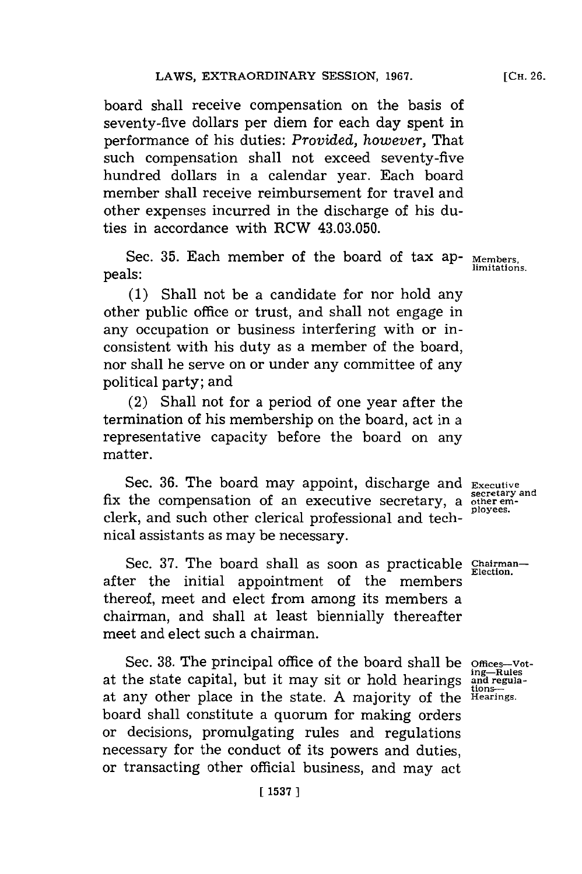board shall receive compensation on the basis of seventy-five dollars per diem for each day spent in performance of his duties: *Provided, however,* That such compensation shall not exceed seventy-five hundred dollars in a calendar year. Each board member shall receive reimbursement for travel and other expenses incurred in the discharge of his duties in accordance with RCW 43.03.050.

Sec. **35.** Each member of the board of tax ap- **Members,** peals: **limitations.**

**(1)** Shall not be a candidate for nor hold any other public office or trust, and shall not engage in any occupation or business interfering with or inconsistent with his duty as a member of the board, nor shall he serve on or under any committee of any political party; and

(2) Shall not for a period of one year after the termination of his membership on the board, act in a representative capacity before the board on any matter.

Sec. **36.** The board may appoint, discharge and **Executive** fix the compensation of an executive secretary, a **other em**clerk, and such other clerical professional and technical assistants as may be necessary.

Sec. 37. The board shall as soon as practicable Chairmanafter the initial appointment of the members thereof, meet and elect from among its members a chairman, and shall at least biennially thereafter meet and elect such a chairman.

Sec. 38. The principal office of the board shall be offices-vot-<br>the state capital, but it may sit or hold hearings and regulaat the state capital, but it may sit or hold hearings and regionat any other place in the state. **A** majority of the **Hearings.** board shall constitute a quorum for making orders or decisions, promulgating rules and regulations necessary for the conduct of its powers and duties, or transacting other official business, and may act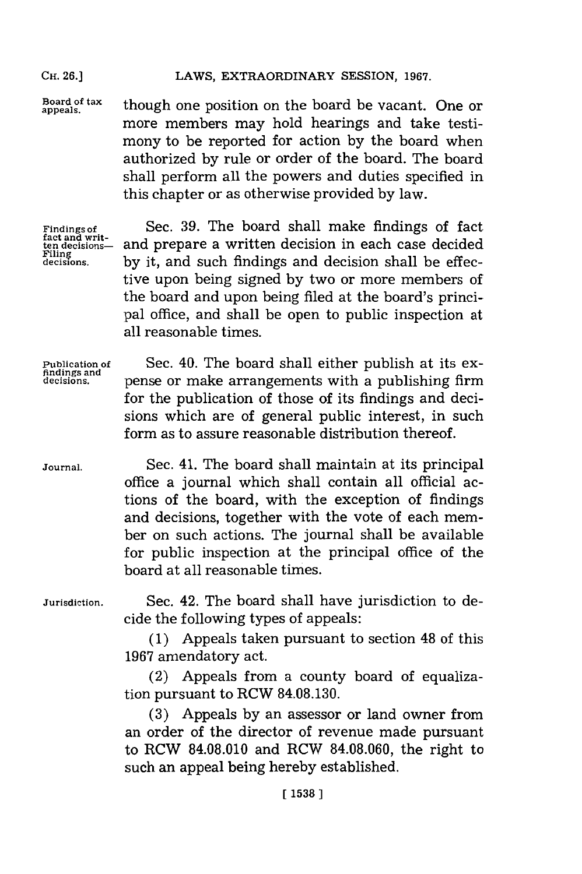### **CH. 26.]** LAWS, EXTRAORDINARY **SESSION, 1967.**

Board of tax **though one position on the board be vacant.** One or more members may hold hearings and take testimony to be reported for action **by** the board when authorized **by** rule or order of the board. The board shall perform all the powers and duties specified in this chapter or as otherwise provided **by** law.

Findings of<br>fact and writ-<br>ten decisions—

**Findings of** Sec. **39.** The board shall make findings of fact ten decisions-<br> **ten decisions-** and prepare a written decision in each case decided<br>
decisions. by it, and such findings and decision shall be effecby it, and such findings and decision shall be effective upon being signed **by** two or more members of the board and upon being filed at the board's principal office, and shall be open to public inspection at all reasonable times.

**findings and**

**Publication of** Sec. 40. The board shall either publish at its ex**decisions.** pense or make arrangements with a publishing firm for the publication of those of its findings and decisions which are of general public interest, in such form as to assure reasonable distribution thereof.

**Journal.** Sec. 41. The board shall maintain at its principal office a journal which shall contain all official actions of the board, with the exception of findings and decisions, together with the vote of each member on such actions. The journal shall be available for public inspection at the principal office of the board at all reasonable times.

**Jurisdiction.** Sec. 42. The board shall have jurisdiction to decide the following types of appeals:

> **(1)** Appeals taken pursuant to section 48 of this **1967** amendatory act.

> (2) Appeals from a county board of equalization pursuant to RCW **84.08.130.**

> **(3)** Appeals **by** an assessor or land owner from an order of the director of revenue made pursuant to RCW **84.08.010** and ROW **84.08.060,** the right to such an appeal being hereby established.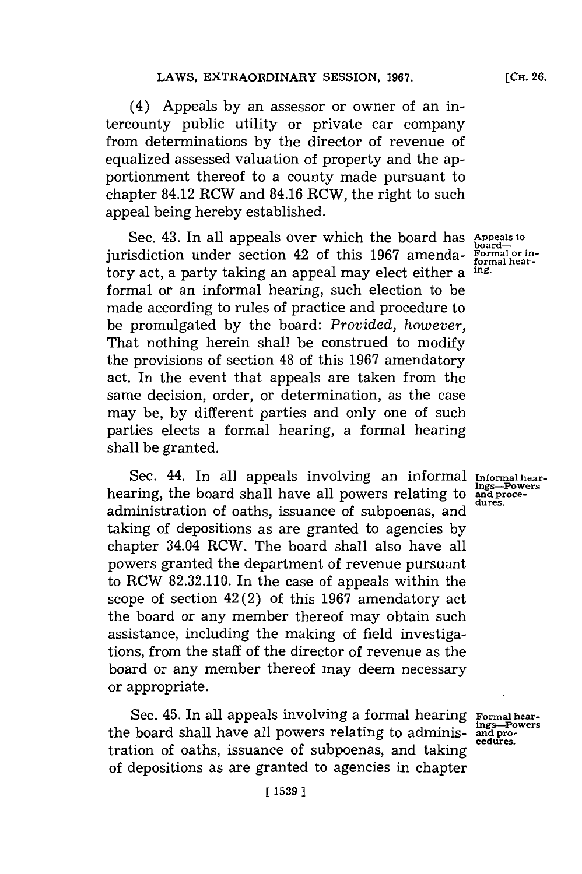(4) Appeals **by** an assessor or owner of an intercounty public utility or private car company from determinations **by** the director of revenue of equalized assessed valuation of property and the apportionment thereof to a county made pursuant to chapter 84.12 RCW and 84.16 RCW, the right to such appeal being hereby established.

Sec. 43. In all appeals over which the board has Appeals to boardjurisdiction under section 42 of this 1967 amenda- **Formal or in**tory act, a party taking an appeal may elect either a **ing.** formal or an informal hearing, such election to be made according to rules of practice and procedure to be promulgated **by** the board: *Provided, however,* That nothing herein shall be construed to modify the provisions of section 48 of this **1967** amendatory act. In the event that appeals are taken from the same decision, order, or determination, as the case may be, **by** different parties and only one of such parties elects a formal hearing, a formal hearing shall be granted.

Sec. 44. In all appeals involving an informal *Informal hear*hearing, the board shall have all powers relating to and proce-<br>hearing, the board shall have all powers relating to and proceadministration of oaths, issuance of subpoenas, and taking of depositions as are granted to agencies **by** chapter 34.04 RCW. The board shall also have all powers granted the department of revenue pursuant to RCW **82.32.110.** In the case of appeals within the scope of section 42(2) of this **1967** amendatory act the board or any member thereof may obtain such assistance, including the making of field investigations, from the staff of the director of revenue as the board or any member thereof may deem necessary or appropriate.

Sec. 45. In all appeals involving a formal hearing Formal hearthe board shall have all powers relating to administration of oaths, issuance of subpoenas, and taking of depositions as are granted to agencies in chapter

**[CH. 26.**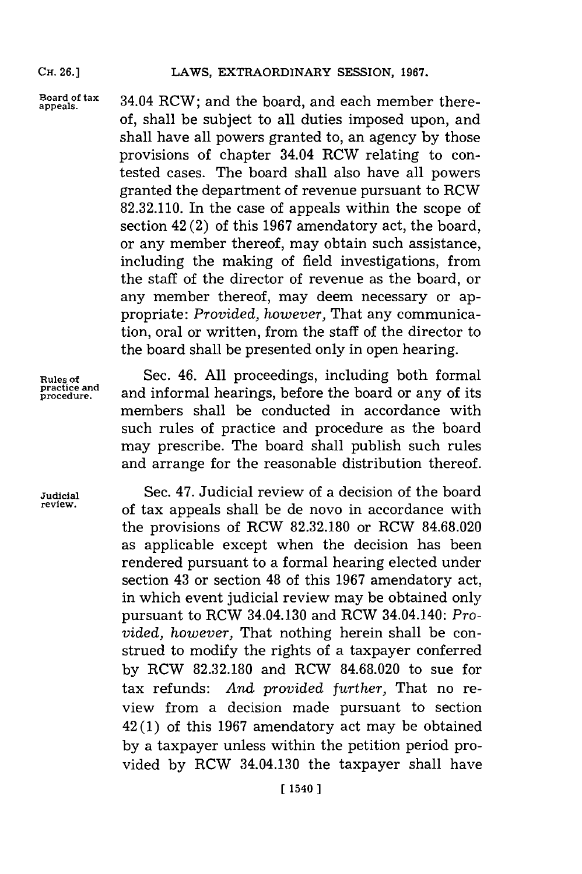#### **CH. 26.]**

appeals.

Board of tax  $34.04$  RCW; and the board, and each member there**of,** shall be subject to all duties imposed upon, and shall have all powers granted to, an agency **by** those provisions of chapter 34.04 RCW relating to contested cases. The board shall also have all powers granted the department of revenue pursuant to RCW **82.32.110.** In the case of appeals within the scope of section 42 (2) of this **1967** amendatory act, the board, or any member thereof, may obtain such assistance, including the making of field investigations, from the staff of the director of revenue as the board, or any member thereof, may deem necessary or appropriate: *Provided, however,* That any communication, oral or written, from the staff of the director to the board shall be presented only in open hearing.

Rules of<br>practice and<br>procedure.

Sec. 46. All proceedings, including both formal **procedure.** and informal hearings, before the board or any of its members shall be conducted in accordance with such rules of practice and procedure as the board may prescribe. The board shall publish such rules and arrange for the reasonable distribution thereof.

**Judicial** Sec. 47. Judicial review of a decision of the board **review.** of tax appeals shall be de novo in accordance with the provisions of RCW **82.32.180** or RCW **84.68.020** as applicable except when the decision has been rendered pursuant to a formal hearing elected under section 43 or section 48 of this **1967** amendatory act, in which event judicial review may be obtained only pursuant to RCW 34.04.130 and RCW 34.04.140: *Provided, however,* That nothing herein shall be construed to modify the rights of a taxpayer conferred **by** RCW **82.32.180** and RCW **84.68.020** to sue for tax refunds: *And provided further,* That no review from a decision made pursuant to section 42 **(1)** of this **1967** amendatory act may be obtained **by** a taxpayer unless within the petition period provided **by** RCW 34.04.130 the taxpayer shall have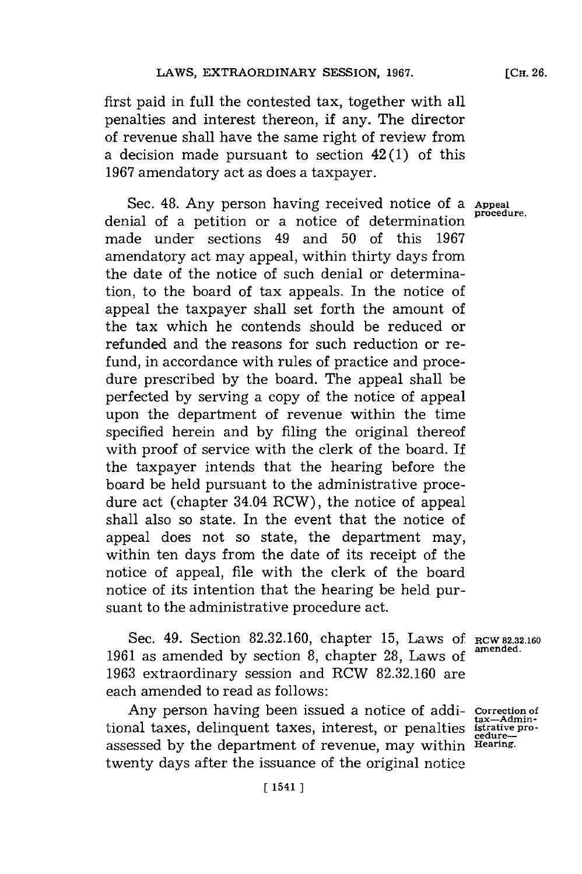first paid in full the contested tax, together with all penalties and interest thereon, if any. The director of revenue shall have the same right of review from a decision made pursuant to section 42 **(1)** of this **1967** amendatory act as does a taxpayer.

Sec. 48. Any person having received notice of a **Appeal** denial of a petition or a notice of determination made under sections 49 and **50** of this **1967** amendatory act may appeal, within thirty days from the date of the notice of such denial or determination, to the board of tax appeals. In the notice of appeal the taxpayer shall set forth the amount of the tax which he contends should be reduced or refunded and the reasons for such reduction or refund, in accordance with rules of practice and procedure prescribed **by** the board. The appeal shall be perfected **by** serving a copy of the notice of appeal upon the department of revenue within the time specified herein and **by** filing the original thereof with proof of service with the clerk of the board. If the taxpayer intends that the hearing before the board be held pursuant to the administrative procedure act (chapter 34.04 RCW), the notice of appeal shall also so state. In the event that the notice of appeal does not so state, the department may, within ten days from the date of its receipt of the notice of appeal, file with the clerk of the board notice of its intention that the hearing be held pursuant to the administrative procedure act.

Sec. 49. Section **82.32.160,** chapter **15,** Laws **Of RCW 82.32.160 1961** as amended **by** section **8,** chapter **28,** Laws of **amended. 1963** extraordinary session and RCW **82.32.160** are each amended to read as follows:

Any person having been issued a notice of addi- **Correction of** tional taxes, delinquent taxes, interest, or penalties **istratively** assessed **by** the department of revenue, may within **Hearing.** twenty days after the issuance of the original notice

**tax-Admin-**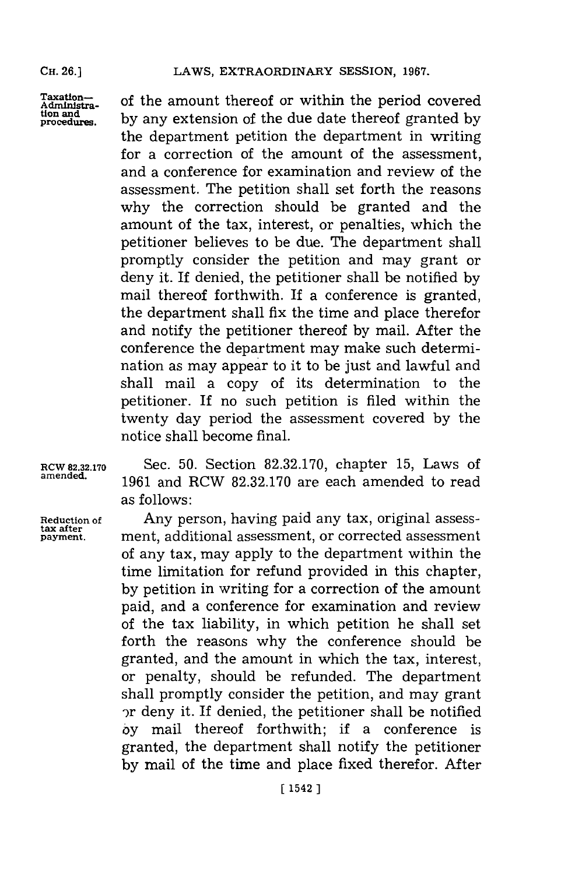#### **CH. 26.]**

Taxation-<br>Administra- of the amount thereof or within the period covered **tion and by** any extension of the due date thereof granted **by procedure.** the department petition the department in writing for a correction of the amount of the assessment, and a conference for examination and review of the assessment. The petition shall set forth the reasons why the correction should be granted and the amount of the tax, interest, or penalties, which the petitioner believes to be due. The department shall promptly consider the petition and may grant or deny it. If denied, the petitioner shall be notified **by** mail thereof forthwith. If a conference is granted, the department shall fix the time and place therefor and notify the petitioner thereof **by** mail. After the conference the department may make such determination as may appear to it to be just and lawful and shall mail a copy of its determination to the petitioner. If no such petition is filed within the twenty day period the assessment covered **by** the notice shall become final.

Reduction of<br>tax after<br>payment.

**RCW 82.32.170** Sec. **50.** Section **82.32.170,** chapter **15,** Laws of **amended. 1961** and RCW **82.32.170** are each amended to read as follows:

> Any person, having paid any tax, original assess**payment .** ment, additional assessment, or corrected assessment of any tax, may apply to the department within the time limitation for refund provided in this chapter, **by** petition in writing for a correction of the amount paid, and a conference for examination and review of the tax liability, in which petition he shall set forth the reasons why the conference should be granted, and the amount in which the tax, interest, or penalty, should be refunded. The department shall promptly consider the petition, and may grant -)r deny it. If denied, the petitioner shall be notified **by** mail thereof forthwith; if a conference is granted, the department shall notify the petitioner **by** mail of the time and place fixed therefor. After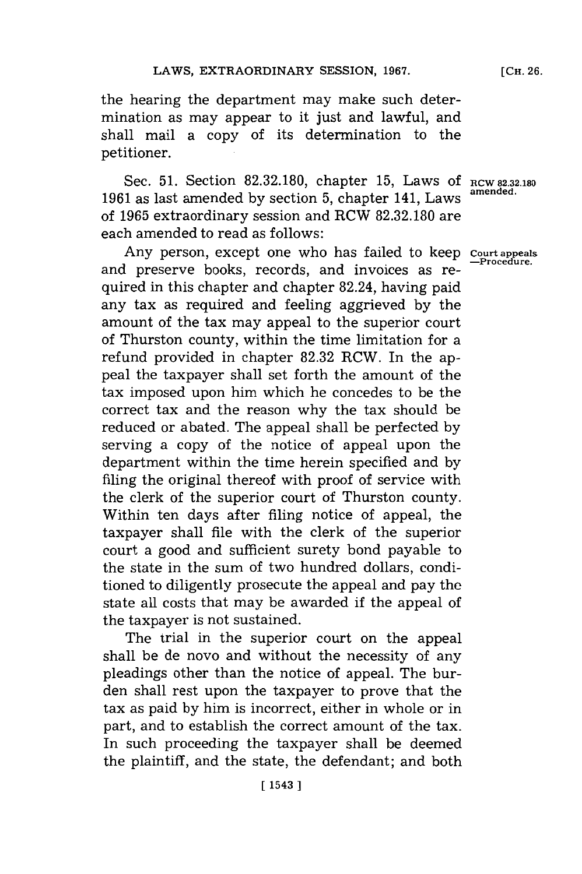the hearing the department may make such determination as may appear to it just and lawful, and shall mail a copy of its determination to the petitioner.

Sec. **51.** Section **82.32.180,** chapter **15,** Laws **Of RCW 82.32.180 1961** as last amended **by** section **5,** chapter 141, Laws of **1965** extraordinary session and RCW **82.32.180** are each amended to read as follows:

Any person, except one who has failed to keep court appeals<br>and preserve books, records, and invoices as required in this chapter and chapter 82.24, having paid any tax as required and feeling aggrieved **by** the amount of the tax may appeal to the superior court of Thurston county, within the time limitation for a refund provided in chapter **82.32** RCW. In the appeal the taxpayer shall set forth the amount of the tax imposed upon him which he concedes to be the correct tax and the reason why the tax should be reduced or abated. The appeal shall be perfected **by** serving a copy of the notice of appeal upon the department within the time herein specified and **by** filing the original thereof with proof of service with the clerk of the superior court of Thurston county. Within ten days after filing notice of appeal, the taxpayer shall file with the clerk of the superior court a good and sufficient surety bond payable to the state in the sum of two hundred dollars, conditioned to diligently prosecute the appeal and pay the state all costs that may be awarded if the appeal of the taxpayer is not sustained.

The trial in the superior court on the appeal shall be de novo and without the necessity of any pleadings other than the notice of appeal. The burden shall rest upon the taxpayer to prove that the tax as paid **by** him is incorrect, either in whole or in part, and to establish the correct amount of the tax. In such proceeding the taxpayer shall be deemed the plaintiff, and the state, the defendant; and both

**[CH. 26.**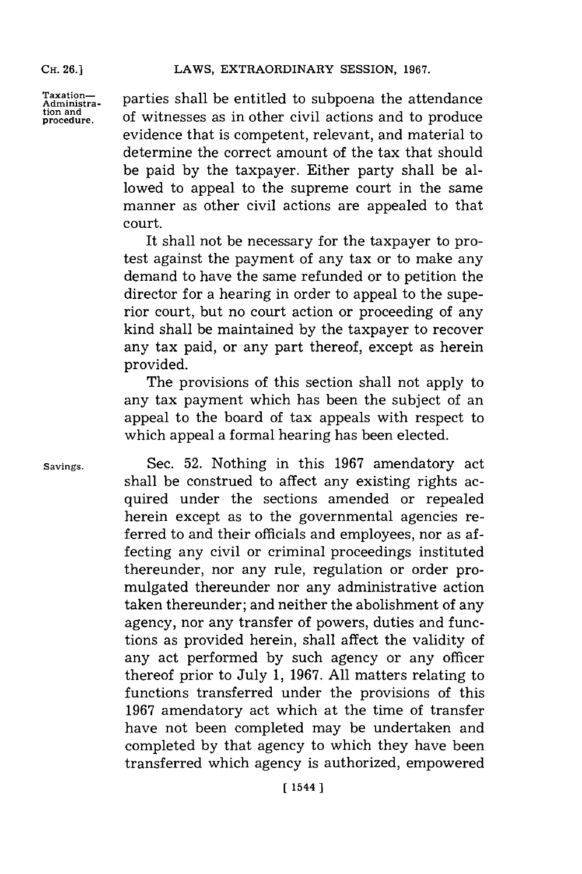Taxation-<br>Administra-<br>
parties shall be entitled to subpoena the attendance tion and **procedure.** of witnesses as in other civil actions and to produce evidence that is competent, relevant, and material to determine the correct amount of the tax that should be paid **by** the taxpayer. Either party shall be allowed to appeal to the supreme court in the same manner as other civil actions are appealed to that court.

> It shall not be necessary for the taxpayer to protest against the payment of any tax or to make any demand to have the same refunded or to petition the director **for** a hearing in order to appeal to the superior court, but no court action or proceeding of any kind shall be maintained **by** the taxpayer to recover any tax paid, or any part thereof, except as herein provided.

> The provisions of this section shall not apply to any tax payment which has been the subject of an appeal to the board of tax appeals with respect to which appeal a formal hearing has been elected.

**Savings.** Sec. **52.** Nothing in this **1967** amendatory act shall be construed to affect any existing rights acquired under the sections amended or repealed herein except as to the governmental agencies referred to and their officials and employees, nor as af  fecting any civil or criminal proceedings instituted thereunder, nor any rule, regulation or order promulgated thereunder nor any administrative action taken thereunder; and neither the abolishment of any agency, nor any transfer of powers, duties and functions as provided herein, shall affect the validity of any act performed **by** such agency or any officer thereof prior to July **1, 1967. All** matters relating to functions transferred under the provisions of this **1967** amendatory act which at the time of transfer have not been completed may be undertaken and completed **by** that agency to which they have been transferred which agency is authorized, empowered

**CH. 26.]**